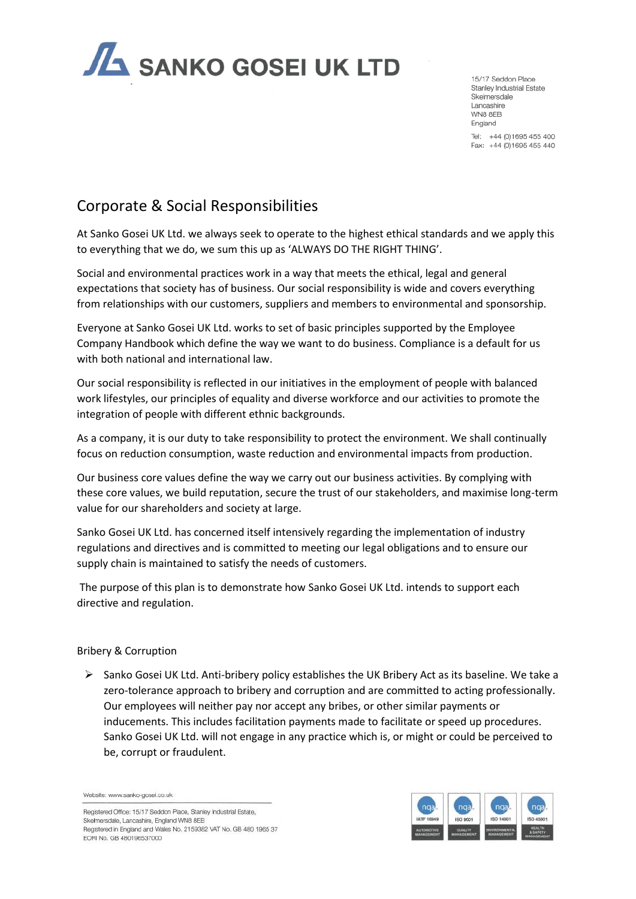

15/17 Seddon Place Stanley Industrial Estate Skelmersdale Lancashire WN8 8FB England Tel: +44 (0)1695 455 400

Fax: +44 (0)1695 455 440

# Corporate & Social Responsibilities

At Sanko Gosei UK Ltd. we always seek to operate to the highest ethical standards and we apply this to everything that we do, we sum this up as 'ALWAYS DO THE RIGHT THING'.

Social and environmental practices work in a way that meets the ethical, legal and general expectations that society has of business. Our social responsibility is wide and covers everything from relationships with our customers, suppliers and members to environmental and sponsorship.

Everyone at Sanko Gosei UK Ltd. works to set of basic principles supported by the Employee Company Handbook which define the way we want to do business. Compliance is a default for us with both national and international law.

Our social responsibility is reflected in our initiatives in the employment of people with balanced work lifestyles, our principles of equality and diverse workforce and our activities to promote the integration of people with different ethnic backgrounds.

As a company, it is our duty to take responsibility to protect the environment. We shall continually focus on reduction consumption, waste reduction and environmental impacts from production.

Our business core values define the way we carry out our business activities. By complying with these core values, we build reputation, secure the trust of our stakeholders, and maximise long-term value for our shareholders and society at large.

Sanko Gosei UK Ltd. has concerned itself intensively regarding the implementation of industry regulations and directives and is committed to meeting our legal obligations and to ensure our supply chain is maintained to satisfy the needs of customers.

The purpose of this plan is to demonstrate how Sanko Gosei UK Ltd. intends to support each directive and regulation.

# Bribery & Corruption

 $\triangleright$  Sanko Gosei UK Ltd. Anti-bribery policy establishes the UK Bribery Act as its baseline. We take a zero-tolerance approach to bribery and corruption and are committed to acting professionally. Our employees will neither pay nor accept any bribes, or other similar payments or inducements. This includes facilitation payments made to facilitate or speed up procedures. Sanko Gosei UK Ltd. will not engage in any practice which is, or might or could be perceived to be, corrupt or fraudulent.

Website: www.sanko-gosei.co.uk

Registered Office: 15/17 Seddon Place, Stanley Industrial Estate, Skelmersdale, Lancashire, England WN8 8EB Registered in England and Wales No. 2159382 VAT No. GB 480 1965 37 EORI No. GB 480196537000

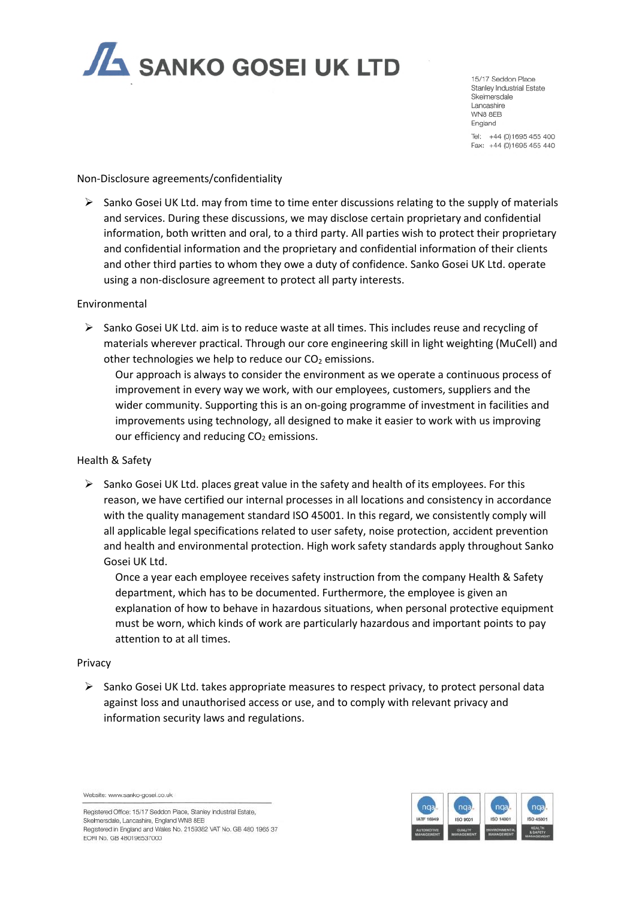

15/17 Seddon Place Stanley Industrial Estate Skelmersdale Lancashire WN8 8FB England

Tel: +44 (0)1695 455 400 Fax: +44 (0)1695 455 440

## Non-Disclosure agreements/confidentiality

➢ Sanko Gosei UK Ltd. may from time to time enter discussions relating to the supply of materials and services. During these discussions, we may disclose certain proprietary and confidential information, both written and oral, to a third party. All parties wish to protect their proprietary and confidential information and the proprietary and confidential information of their clients and other third parties to whom they owe a duty of confidence. Sanko Gosei UK Ltd. operate using a non-disclosure agreement to protect all party interests.

## Environmental

 $\triangleright$  Sanko Gosei UK Ltd. aim is to reduce waste at all times. This includes reuse and recycling of materials wherever practical. Through our core engineering skill in light weighting (MuCell) and other technologies we help to reduce our  $CO<sub>2</sub>$  emissions.

Our approach is always to consider the environment as we operate a continuous process of improvement in every way we work, with our employees, customers, suppliers and the wider community. Supporting this is an on-going programme of investment in facilities and improvements using technology, all designed to make it easier to work with us improving our efficiency and reducing  $CO<sub>2</sub>$  emissions.

# Health & Safety

 $\triangleright$  Sanko Gosei UK Ltd. places great value in the safety and health of its employees. For this reason, we have certified our internal processes in all locations and consistency in accordance with the quality management standard ISO 45001. In this regard, we consistently comply will all applicable legal specifications related to user safety, noise protection, accident prevention and health and environmental protection. High work safety standards apply throughout Sanko Gosei UK Ltd.

Once a year each employee receives safety instruction from the company Health & Safety department, which has to be documented. Furthermore, the employee is given an explanation of how to behave in hazardous situations, when personal protective equipment must be worn, which kinds of work are particularly hazardous and important points to pay attention to at all times.

#### Privacy

 $\triangleright$  Sanko Gosei UK Ltd. takes appropriate measures to respect privacy, to protect personal data against loss and unauthorised access or use, and to comply with relevant privacy and information security laws and regulations.

Website: www.sanko-gosei.co.uk

Registered Office: 15/17 Seddon Place, Stanley Industrial Estate, Skelmersdale, Lancashire, England WN8 8EB Registered in England and Wales No. 2159382 VAT No. GB 480 1965 37 EORI No. GB 480196537000

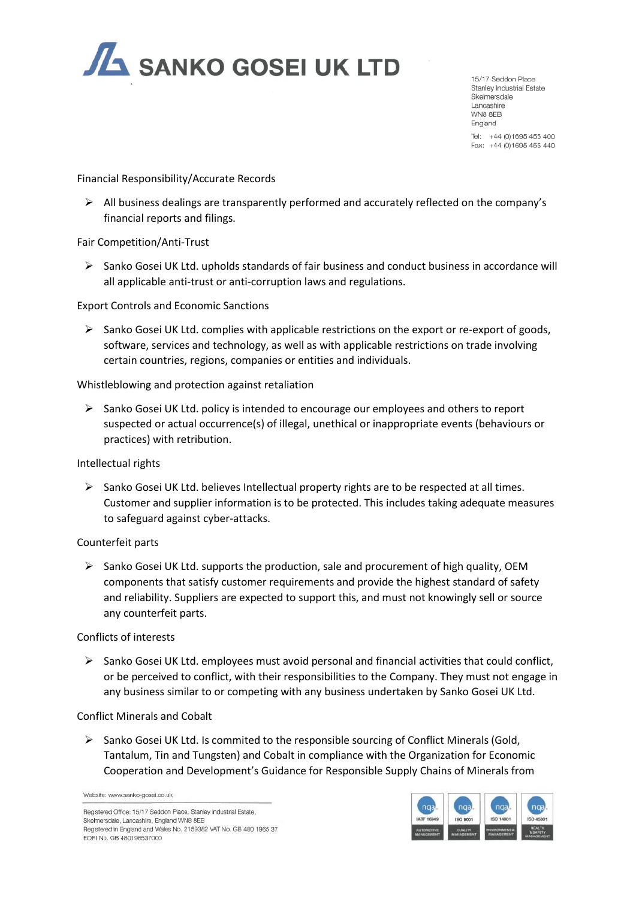

15/17 Seddon Place Stanley Industrial Estate Skelmersdale Lancashire WN8 8FB England Tel: +44 (0)1695 455 400

Fax: +44 (0)1695 455 440

Financial Responsibility/Accurate Records

➢ All business dealings are transparently performed and accurately reflected on the company's financial reports and filings.

## Fair Competition/Anti-Trust

 $\triangleright$  Sanko Gosei UK Ltd. upholds standards of fair business and conduct business in accordance will all applicable anti-trust or anti-corruption laws and regulations.

Export Controls and Economic Sanctions

➢ Sanko Gosei UK Ltd. complies with applicable restrictions on the export or re-export of goods, software, services and technology, as well as with applicable restrictions on trade involving certain countries, regions, companies or entities and individuals.

Whistleblowing and protection against retaliation

 $\triangleright$  Sanko Gosei UK Ltd. policy is intended to encourage our employees and others to report suspected or actual occurrence(s) of illegal, unethical or inappropriate events (behaviours or practices) with retribution.

Intellectual rights

 $\triangleright$  Sanko Gosei UK Ltd. believes Intellectual property rights are to be respected at all times. Customer and supplier information is to be protected. This includes taking adequate measures to safeguard against cyber-attacks.

#### Counterfeit parts

 $\triangleright$  Sanko Gosei UK Ltd. supports the production, sale and procurement of high quality, OEM components that satisfy customer requirements and provide the highest standard of safety and reliability. Suppliers are expected to support this, and must not knowingly sell or source any counterfeit parts.

#### Conflicts of interests

 $\triangleright$  Sanko Gosei UK Ltd. employees must avoid personal and financial activities that could conflict. or be perceived to conflict, with their responsibilities to the Company. They must not engage in any business similar to or competing with any business undertaken by Sanko Gosei UK Ltd.

#### Conflict Minerals and Cobalt

➢ Sanko Gosei UK Ltd. Is commited to the responsible sourcing of Conflict Minerals (Gold, Tantalum, Tin and Tungsten) and Cobalt in compliance with the Organization for Economic Cooperation and Development's Guidance for Responsible Supply Chains of Minerals from

Website: www.sanko-gosei.co.uk

Registered Office: 15/17 Seddon Place, Stanley Industrial Estate, Skelmersdale, Lancashire, England WN8 8EB Registered in England and Wales No. 2159382 VAT No. GB 480 1965 37 EORI No. GB 480196537000